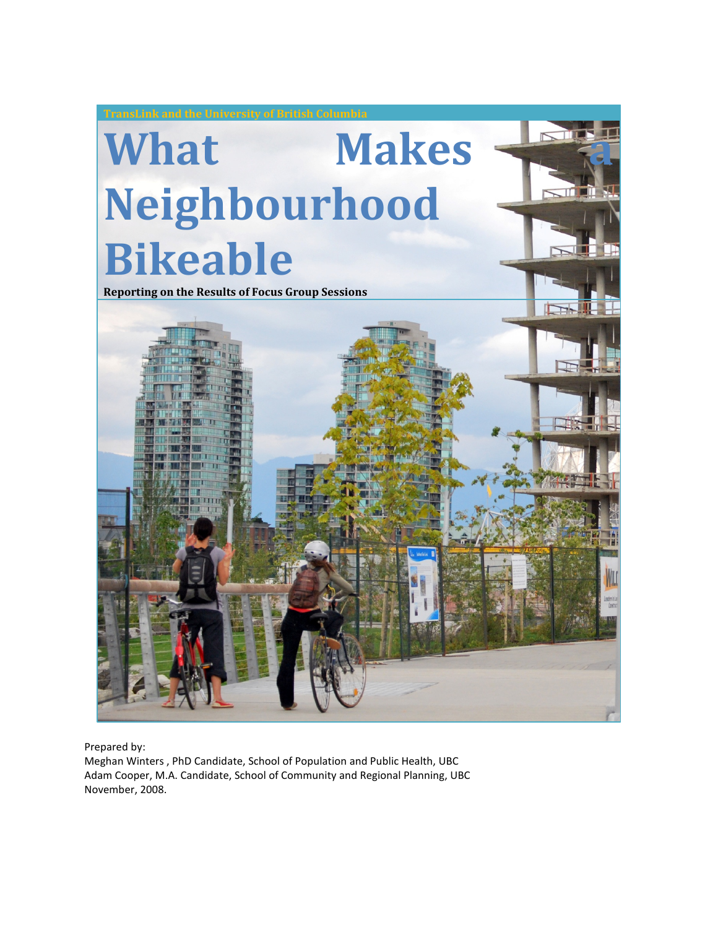

Prepared by:

Meghan Winters , PhD Candidate, School of Population and Public Health, UBC Adam Cooper, M.A. Candidate, School of Community and Regional Planning, UBC November, 2008.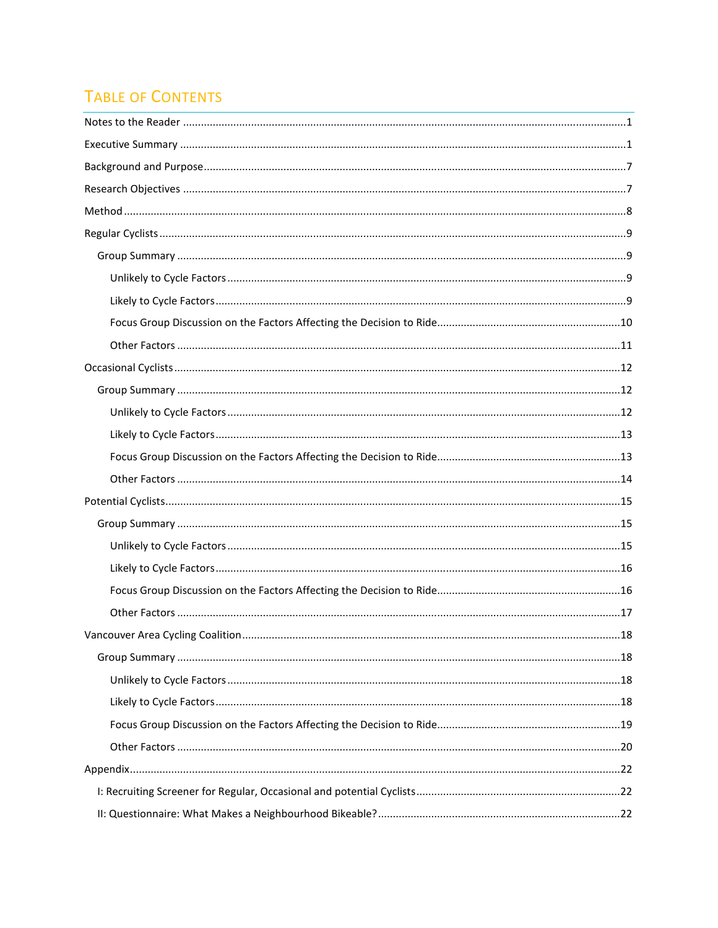# **TABLE OF CONTENTS**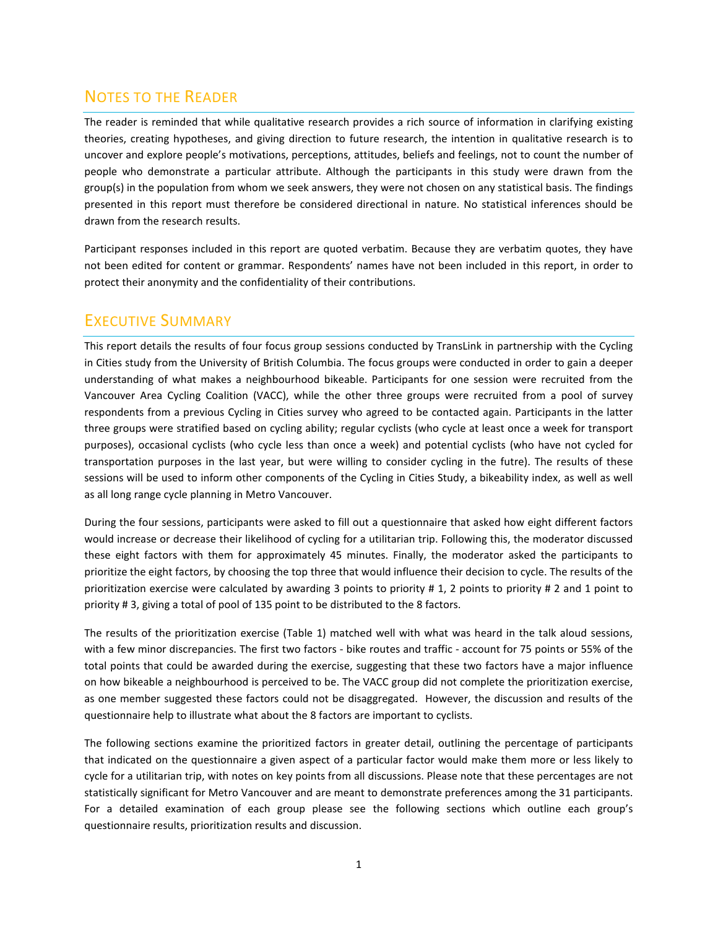## NOTES TO THE READER

The reader is reminded that while qualitative research provides a rich source of information in clarifying existing theories, creating hypotheses, and giving direction to future research, the intention in qualitative research is to uncover and explore people's motivations, perceptions, attitudes, beliefs and feelings, not to count the number of people who demonstrate a particular attribute. Although the participants in this study were drawn from the group(s) in the population from whom we seek answers, they were not chosen on any statistical basis. The findings presented in this report must therefore be considered directional in nature. No statistical inferences should be drawn from the research results.

Participant responses included in this report are quoted verbatim. Because they are verbatim quotes, they have not been edited for content or grammar. Respondents' names have not been included in this report, in order to protect their anonymity and the confidentiality of their contributions.

## EXECUTIVE SUMMARY

This report details the results of four focus group sessions conducted by TransLink in partnership with the Cycling in Cities study from the University of British Columbia. The focus groups were conducted in order to gain a deeper understanding of what makes a neighbourhood bikeable. Participants for one session were recruited from the Vancouver Area Cycling Coalition (VACC), while the other three groups were recruited from a pool of survey respondents from a previous Cycling in Cities survey who agreed to be contacted again. Participants in the latter three groups were stratified based on cycling ability; regular cyclists (who cycle at least once a week for transport purposes), occasional cyclists (who cycle less than once a week) and potential cyclists (who have not cycled for transportation purposes in the last year, but were willing to consider cycling in the futre). The results of these sessions will be used to inform other components of the Cycling in Cities Study, a bikeability index, as well as well as all long range cycle planning in Metro Vancouver.

During the four sessions, participants were asked to fill out a questionnaire that asked how eight different factors would increase or decrease their likelihood of cycling for a utilitarian trip. Following this, the moderator discussed these eight factors with them for approximately 45 minutes. Finally, the moderator asked the participants to prioritize the eight factors, by choosing the top three that would influence their decision to cycle. The results of the prioritization exercise were calculated by awarding 3 points to priority # 1, 2 points to priority # 2 and 1 point to priority # 3, giving a total of pool of 135 point to be distributed to the 8 factors.

The results of the prioritization exercise (Table 1) matched well with what was heard in the talk aloud sessions, with a few minor discrepancies. The first two factors - bike routes and traffic - account for 75 points or 55% of the total points that could be awarded during the exercise, suggesting that these two factors have a major influence on how bikeable a neighbourhood is perceived to be. The VACC group did not complete the prioritization exercise, as one member suggested these factors could not be disaggregated. However, the discussion and results of the questionnaire help to illustrate what about the 8 factors are important to cyclists.

The following sections examine the prioritized factors in greater detail, outlining the percentage of participants that indicated on the questionnaire a given aspect of a particular factor would make them more or less likely to cycle for a utilitarian trip, with notes on key points from all discussions. Please note that these percentages are not statistically significant for Metro Vancouver and are meant to demonstrate preferences among the 31 participants. For a detailed examination of each group please see the following sections which outline each group's questionnaire results, prioritization results and discussion.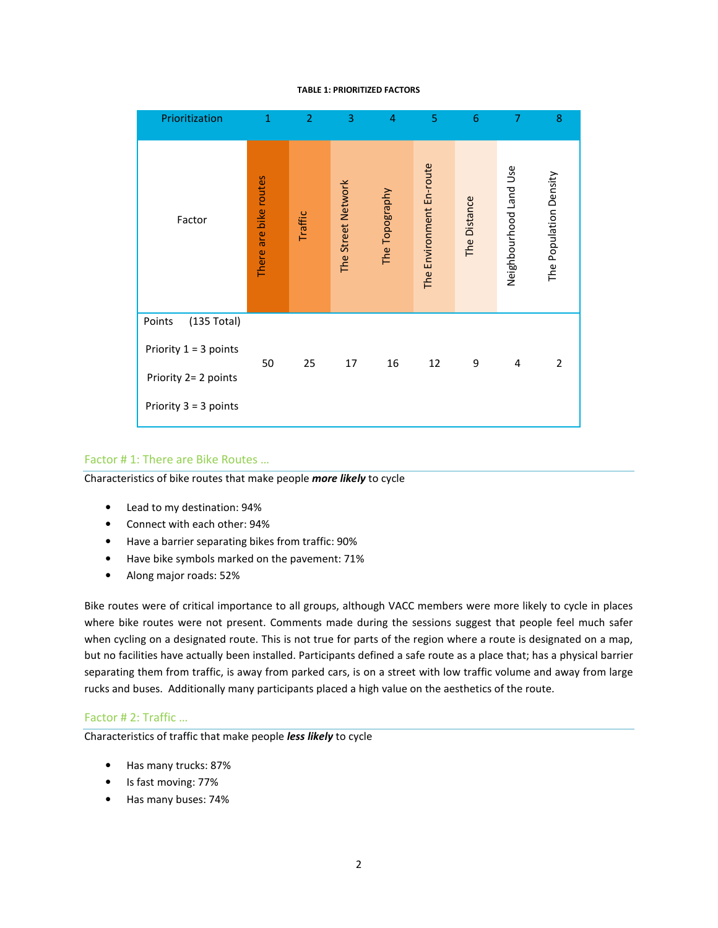#### TABLE 1: PRIORITIZED FACTORS

| Prioritization                                   | $\mathbf{1}$          | 2       | 3                  | 4              | 5                        | 6            | 7                         | 8                      |
|--------------------------------------------------|-----------------------|---------|--------------------|----------------|--------------------------|--------------|---------------------------|------------------------|
| Factor                                           | There are bike routes | Traffic | The Street Network | The Topography | The Environment En-route | The Distance | Use<br>Neighbourhood Land | The Population Density |
| (135 Total)<br>Points<br>Priority $1 = 3$ points |                       |         |                    |                |                          |              |                           |                        |
| Priority 2= 2 points                             | 50                    | 25      | 17                 | 16             | 12                       | 9            | 4                         | 2                      |
| Priority $3 = 3$ points                          |                       |         |                    |                |                          |              |                           |                        |

#### Factor # 1: There are Bike Routes …

Characteristics of bike routes that make people more likely to cycle

- Lead to my destination: 94%
- Connect with each other: 94%
- Have a barrier separating bikes from traffic: 90%
- Have bike symbols marked on the pavement: 71%
- Along major roads: 52%

Bike routes were of critical importance to all groups, although VACC members were more likely to cycle in places where bike routes were not present. Comments made during the sessions suggest that people feel much safer when cycling on a designated route. This is not true for parts of the region where a route is designated on a map, but no facilities have actually been installed. Participants defined a safe route as a place that; has a physical barrier separating them from traffic, is away from parked cars, is on a street with low traffic volume and away from large rucks and buses. Additionally many participants placed a high value on the aesthetics of the route.

#### Factor # 2: Traffic …

Characteristics of traffic that make people *less likely* to cycle

- Has many trucks: 87%
- Is fast moving: 77%
- Has many buses: 74%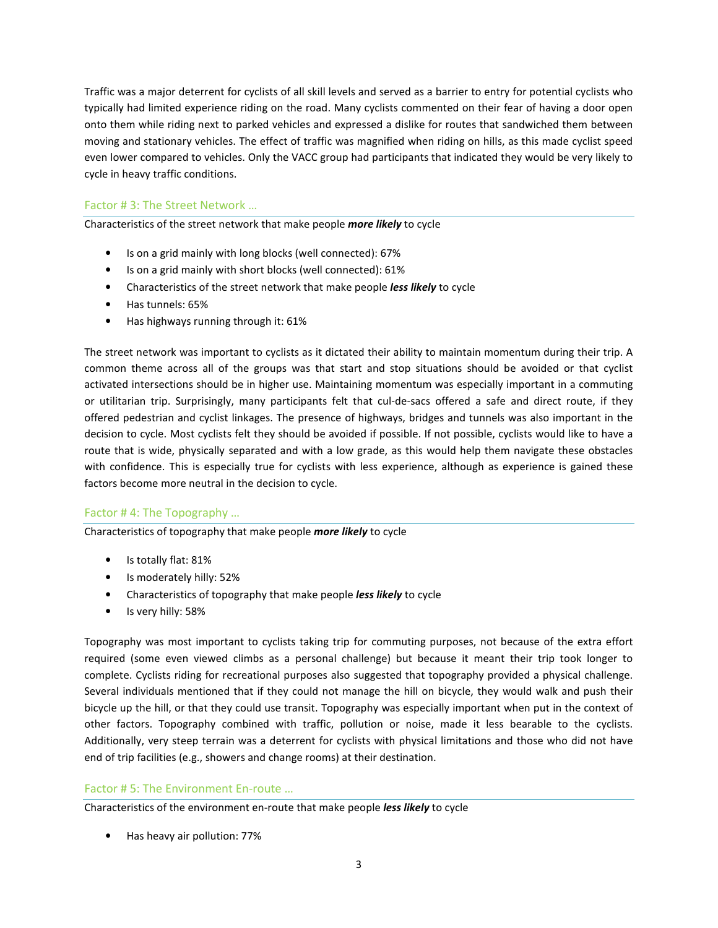Traffic was a major deterrent for cyclists of all skill levels and served as a barrier to entry for potential cyclists who typically had limited experience riding on the road. Many cyclists commented on their fear of having a door open onto them while riding next to parked vehicles and expressed a dislike for routes that sandwiched them between moving and stationary vehicles. The effect of traffic was magnified when riding on hills, as this made cyclist speed even lower compared to vehicles. Only the VACC group had participants that indicated they would be very likely to cycle in heavy traffic conditions.

## Factor # 3: The Street Network …

Characteristics of the street network that make people more likely to cycle

- Is on a grid mainly with long blocks (well connected): 67%
- Is on a grid mainly with short blocks (well connected): 61%
- Characteristics of the street network that make people less likely to cycle
- Has tunnels: 65%
- Has highways running through it: 61%

The street network was important to cyclists as it dictated their ability to maintain momentum during their trip. A common theme across all of the groups was that start and stop situations should be avoided or that cyclist activated intersections should be in higher use. Maintaining momentum was especially important in a commuting or utilitarian trip. Surprisingly, many participants felt that cul-de-sacs offered a safe and direct route, if they offered pedestrian and cyclist linkages. The presence of highways, bridges and tunnels was also important in the decision to cycle. Most cyclists felt they should be avoided if possible. If not possible, cyclists would like to have a route that is wide, physically separated and with a low grade, as this would help them navigate these obstacles with confidence. This is especially true for cyclists with less experience, although as experience is gained these factors become more neutral in the decision to cycle.

## Factor # 4: The Topography …

Characteristics of topography that make people *more likely* to cycle

- Is totally flat: 81%
- Is moderately hilly: 52%
- Characteristics of topography that make people less likely to cycle
- Is very hilly: 58%

Topography was most important to cyclists taking trip for commuting purposes, not because of the extra effort required (some even viewed climbs as a personal challenge) but because it meant their trip took longer to complete. Cyclists riding for recreational purposes also suggested that topography provided a physical challenge. Several individuals mentioned that if they could not manage the hill on bicycle, they would walk and push their bicycle up the hill, or that they could use transit. Topography was especially important when put in the context of other factors. Topography combined with traffic, pollution or noise, made it less bearable to the cyclists. Additionally, very steep terrain was a deterrent for cyclists with physical limitations and those who did not have end of trip facilities (e.g., showers and change rooms) at their destination.

### Factor # 5: The Environment En-route …

Characteristics of the environment en-route that make people *less likely* to cycle

• Has heavy air pollution: 77%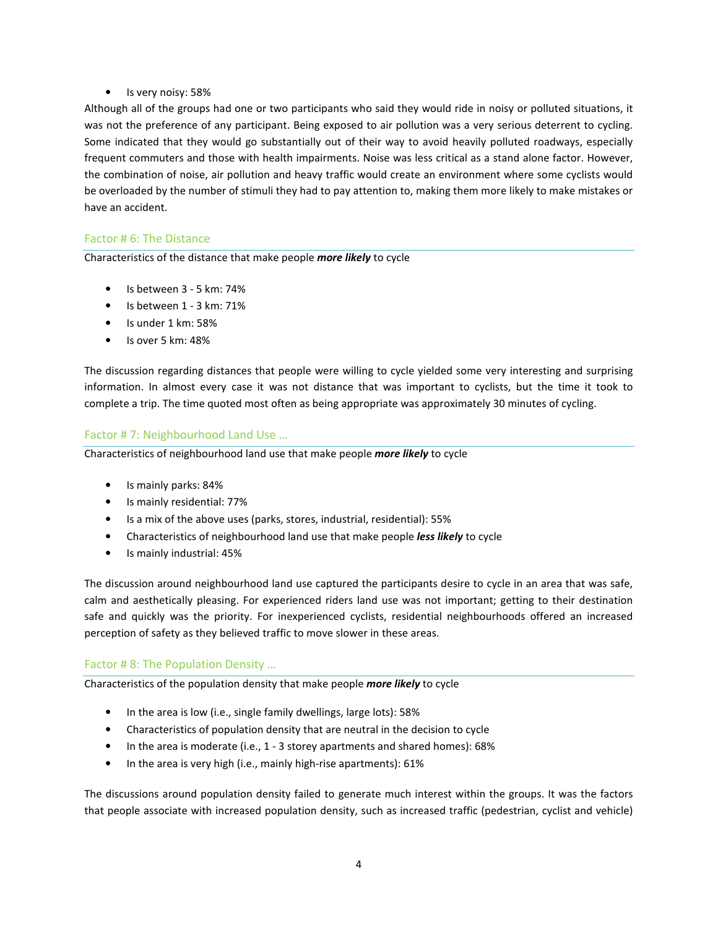## • Is very noisy: 58%

Although all of the groups had one or two participants who said they would ride in noisy or polluted situations, it was not the preference of any participant. Being exposed to air pollution was a very serious deterrent to cycling. Some indicated that they would go substantially out of their way to avoid heavily polluted roadways, especially frequent commuters and those with health impairments. Noise was less critical as a stand alone factor. However, the combination of noise, air pollution and heavy traffic would create an environment where some cyclists would be overloaded by the number of stimuli they had to pay attention to, making them more likely to make mistakes or have an accident.

## Factor # 6: The Distance

Characteristics of the distance that make people more likely to cycle

- Is between 3 5 km: 74%
- Is between 1 3 km: 71%
- Is under 1 km: 58%
- Is over 5 km: 48%

The discussion regarding distances that people were willing to cycle yielded some very interesting and surprising information. In almost every case it was not distance that was important to cyclists, but the time it took to complete a trip. The time quoted most often as being appropriate was approximately 30 minutes of cycling.

## Factor # 7: Neighbourhood Land Use …

Characteristics of neighbourhood land use that make people more likely to cycle

- Is mainly parks: 84%
- Is mainly residential: 77%
- Is a mix of the above uses (parks, stores, industrial, residential): 55%
- Characteristics of neighbourhood land use that make people less likely to cycle
- Is mainly industrial: 45%

The discussion around neighbourhood land use captured the participants desire to cycle in an area that was safe, calm and aesthetically pleasing. For experienced riders land use was not important; getting to their destination safe and quickly was the priority. For inexperienced cyclists, residential neighbourhoods offered an increased perception of safety as they believed traffic to move slower in these areas.

### Factor # 8: The Population Density …

Characteristics of the population density that make people more likely to cycle

- In the area is low (i.e., single family dwellings, large lots): 58%
- Characteristics of population density that are neutral in the decision to cycle
- In the area is moderate (i.e., 1 3 storey apartments and shared homes): 68%
- In the area is very high (i.e., mainly high-rise apartments): 61%

The discussions around population density failed to generate much interest within the groups. It was the factors that people associate with increased population density, such as increased traffic (pedestrian, cyclist and vehicle)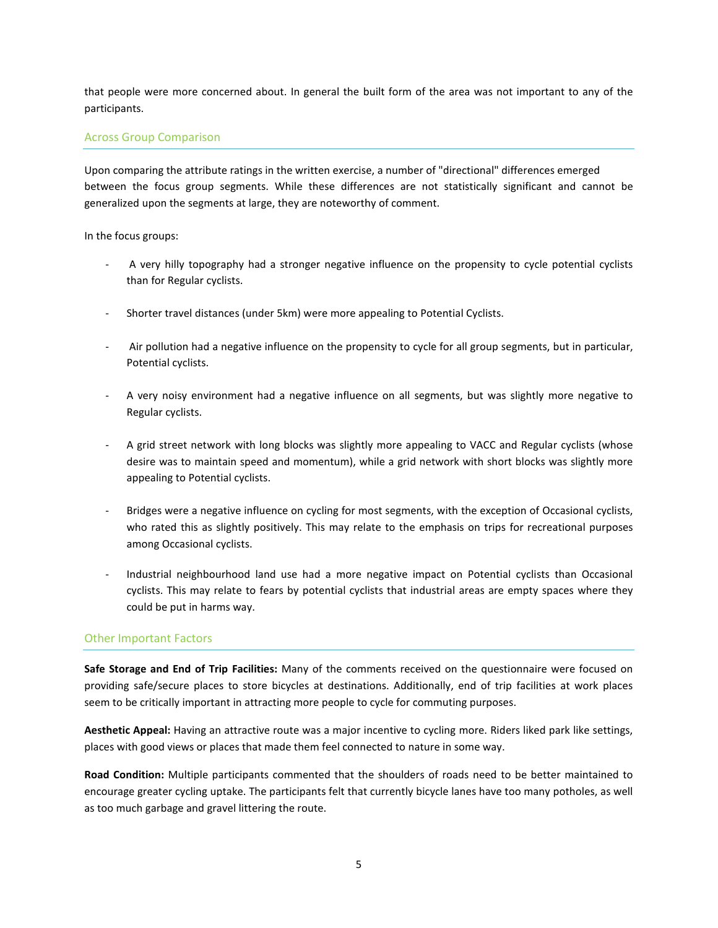that people were more concerned about. In general the built form of the area was not important to any of the participants.

### Across Group Comparison

Upon comparing the attribute ratings in the written exercise, a number of "directional" differences emerged between the focus group segments. While these differences are not statistically significant and cannot be generalized upon the segments at large, they are noteworthy of comment.

In the focus groups:

- A very hilly topography had a stronger negative influence on the propensity to cycle potential cyclists than for Regular cyclists.
- Shorter travel distances (under 5km) were more appealing to Potential Cyclists.
- Air pollution had a negative influence on the propensity to cycle for all group segments, but in particular, Potential cyclists.
- A very noisy environment had a negative influence on all segments, but was slightly more negative to Regular cyclists.
- A grid street network with long blocks was slightly more appealing to VACC and Regular cyclists (whose desire was to maintain speed and momentum), while a grid network with short blocks was slightly more appealing to Potential cyclists.
- Bridges were a negative influence on cycling for most segments, with the exception of Occasional cyclists, who rated this as slightly positively. This may relate to the emphasis on trips for recreational purposes among Occasional cyclists.
- Industrial neighbourhood land use had a more negative impact on Potential cyclists than Occasional cyclists. This may relate to fears by potential cyclists that industrial areas are empty spaces where they could be put in harms way.

### Other Important Factors

Safe Storage and End of Trip Facilities: Many of the comments received on the questionnaire were focused on providing safe/secure places to store bicycles at destinations. Additionally, end of trip facilities at work places seem to be critically important in attracting more people to cycle for commuting purposes.

Aesthetic Appeal: Having an attractive route was a major incentive to cycling more. Riders liked park like settings, places with good views or places that made them feel connected to nature in some way.

Road Condition: Multiple participants commented that the shoulders of roads need to be better maintained to encourage greater cycling uptake. The participants felt that currently bicycle lanes have too many potholes, as well as too much garbage and gravel littering the route.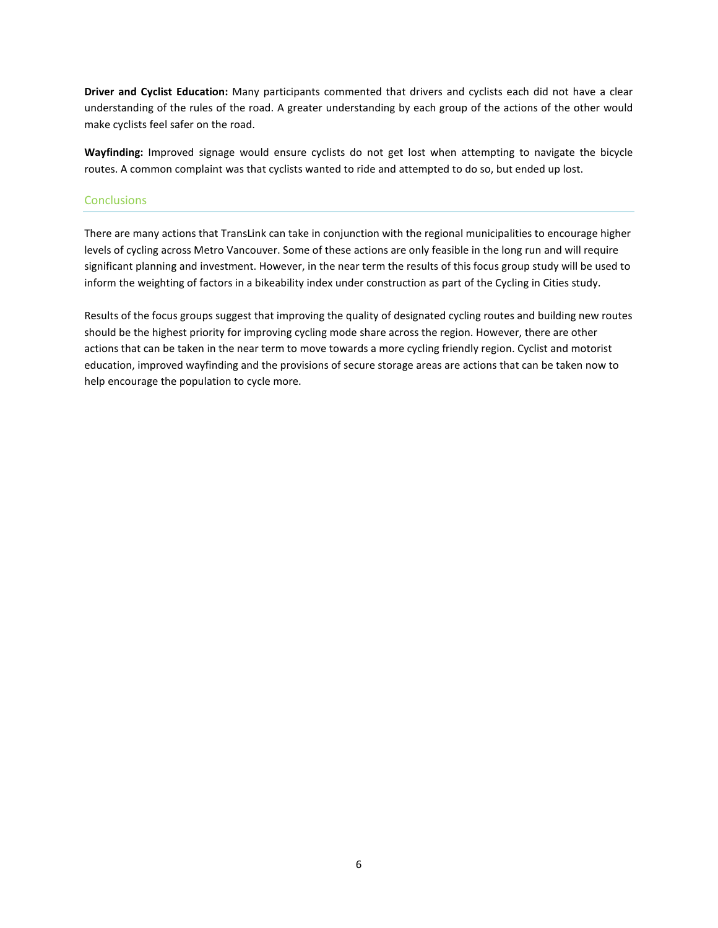Driver and Cyclist Education: Many participants commented that drivers and cyclists each did not have a clear understanding of the rules of the road. A greater understanding by each group of the actions of the other would make cyclists feel safer on the road.

Wayfinding: Improved signage would ensure cyclists do not get lost when attempting to navigate the bicycle routes. A common complaint was that cyclists wanted to ride and attempted to do so, but ended up lost.

### **Conclusions**

There are many actions that TransLink can take in conjunction with the regional municipalities to encourage higher levels of cycling across Metro Vancouver. Some of these actions are only feasible in the long run and will require significant planning and investment. However, in the near term the results of this focus group study will be used to inform the weighting of factors in a bikeability index under construction as part of the Cycling in Cities study.

Results of the focus groups suggest that improving the quality of designated cycling routes and building new routes should be the highest priority for improving cycling mode share across the region. However, there are other actions that can be taken in the near term to move towards a more cycling friendly region. Cyclist and motorist education, improved wayfinding and the provisions of secure storage areas are actions that can be taken now to help encourage the population to cycle more.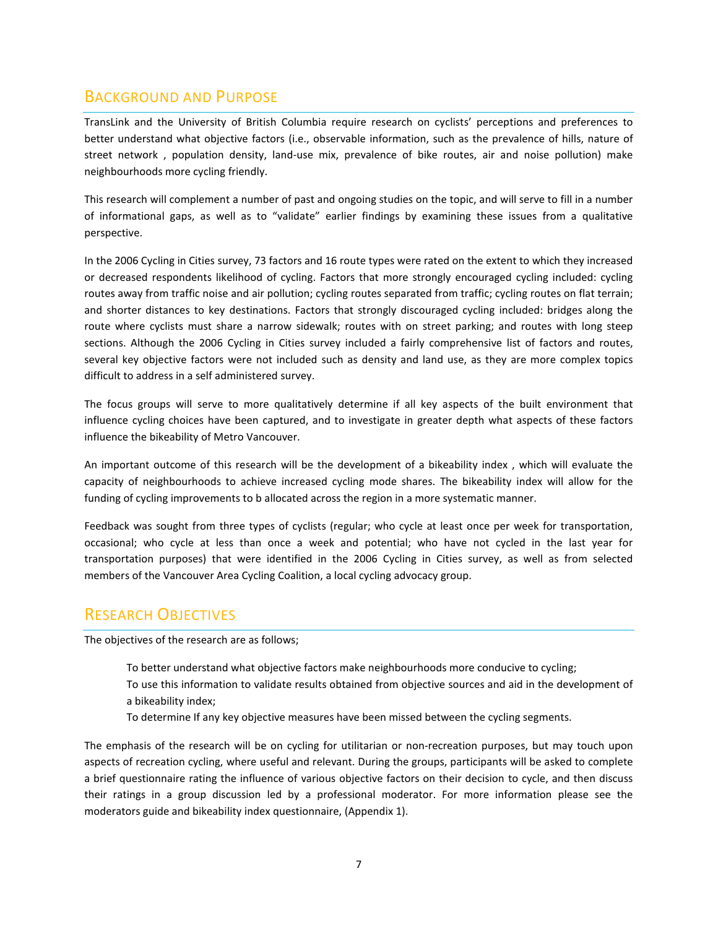## BACKGROUND AND PURPOSE

TransLink and the University of British Columbia require research on cyclists' perceptions and preferences to better understand what objective factors (i.e., observable information, such as the prevalence of hills, nature of street network , population density, land-use mix, prevalence of bike routes, air and noise pollution) make neighbourhoods more cycling friendly.

This research will complement a number of past and ongoing studies on the topic, and will serve to fill in a number of informational gaps, as well as to "validate" earlier findings by examining these issues from a qualitative perspective.

In the 2006 Cycling in Cities survey, 73 factors and 16 route types were rated on the extent to which they increased or decreased respondents likelihood of cycling. Factors that more strongly encouraged cycling included: cycling routes away from traffic noise and air pollution; cycling routes separated from traffic; cycling routes on flat terrain; and shorter distances to key destinations. Factors that strongly discouraged cycling included: bridges along the route where cyclists must share a narrow sidewalk; routes with on street parking; and routes with long steep sections. Although the 2006 Cycling in Cities survey included a fairly comprehensive list of factors and routes, several key objective factors were not included such as density and land use, as they are more complex topics difficult to address in a self administered survey.

The focus groups will serve to more qualitatively determine if all key aspects of the built environment that influence cycling choices have been captured, and to investigate in greater depth what aspects of these factors influence the bikeability of Metro Vancouver.

An important outcome of this research will be the development of a bikeability index , which will evaluate the capacity of neighbourhoods to achieve increased cycling mode shares. The bikeability index will allow for the funding of cycling improvements to b allocated across the region in a more systematic manner.

Feedback was sought from three types of cyclists (regular; who cycle at least once per week for transportation, occasional; who cycle at less than once a week and potential; who have not cycled in the last year for transportation purposes) that were identified in the 2006 Cycling in Cities survey, as well as from selected members of the Vancouver Area Cycling Coalition, a local cycling advocacy group.

## RESEARCH OBJECTIVES

The objectives of the research are as follows;

To better understand what objective factors make neighbourhoods more conducive to cycling;

- To use this information to validate results obtained from objective sources and aid in the development of a bikeability index;
- To determine If any key objective measures have been missed between the cycling segments.

The emphasis of the research will be on cycling for utilitarian or non-recreation purposes, but may touch upon aspects of recreation cycling, where useful and relevant. During the groups, participants will be asked to complete a brief questionnaire rating the influence of various objective factors on their decision to cycle, and then discuss their ratings in a group discussion led by a professional moderator. For more information please see the moderators guide and bikeability index questionnaire, (Appendix 1).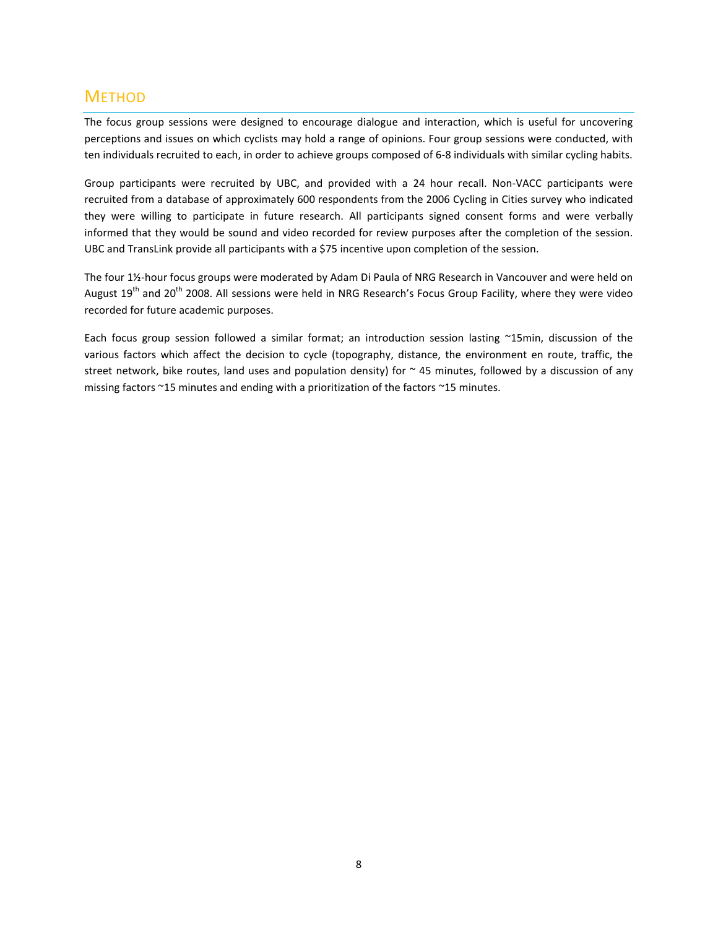## **METHOD**

The focus group sessions were designed to encourage dialogue and interaction, which is useful for uncovering perceptions and issues on which cyclists may hold a range of opinions. Four group sessions were conducted, with ten individuals recruited to each, in order to achieve groups composed of 6-8 individuals with similar cycling habits.

Group participants were recruited by UBC, and provided with a 24 hour recall. Non-VACC participants were recruited from a database of approximately 600 respondents from the 2006 Cycling in Cities survey who indicated they were willing to participate in future research. All participants signed consent forms and were verbally informed that they would be sound and video recorded for review purposes after the completion of the session. UBC and TransLink provide all participants with a \$75 incentive upon completion of the session.

The four 1½-hour focus groups were moderated by Adam Di Paula of NRG Research in Vancouver and were held on August 19<sup>th</sup> and 20<sup>th</sup> 2008. All sessions were held in NRG Research's Focus Group Facility, where they were video recorded for future academic purposes.

Each focus group session followed a similar format; an introduction session lasting ~15min, discussion of the various factors which affect the decision to cycle (topography, distance, the environment en route, traffic, the street network, bike routes, land uses and population density) for  $\sim$  45 minutes, followed by a discussion of any missing factors ~15 minutes and ending with a prioritization of the factors ~15 minutes.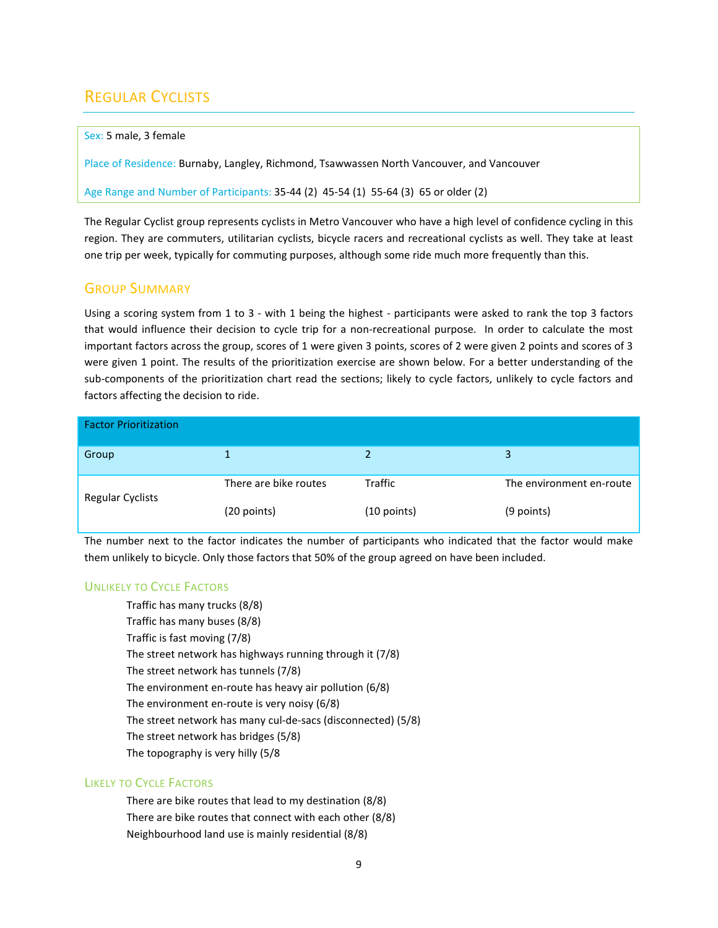# REGULAR CYCLISTS

#### Sex: 5 male, 3 female

Place of Residence: Burnaby, Langley, Richmond, Tsawwassen North Vancouver, and Vancouver

Age Range and Number of Participants: 35-44 (2) 45-54 (1) 55-64 (3) 65 or older (2)

The Regular Cyclist group represents cyclists in Metro Vancouver who have a high level of confidence cycling in this region. They are commuters, utilitarian cyclists, bicycle racers and recreational cyclists as well. They take at least one trip per week, typically for commuting purposes, although some ride much more frequently than this.

## GROUP SUMMARY

Using a scoring system from 1 to 3 - with 1 being the highest - participants were asked to rank the top 3 factors that would influence their decision to cycle trip for a non-recreational purpose. In order to calculate the most important factors across the group, scores of 1 were given 3 points, scores of 2 were given 2 points and scores of 3 were given 1 point. The results of the prioritization exercise are shown below. For a better understanding of the sub-components of the prioritization chart read the sections; likely to cycle factors, unlikely to cycle factors and factors affecting the decision to ride.

| <b>Factor Prioritization</b> |                       |                |                          |
|------------------------------|-----------------------|----------------|--------------------------|
| Group                        |                       |                | 3                        |
| <b>Regular Cyclists</b>      | There are bike routes | <b>Traffic</b> | The environment en-route |
|                              | (20 points)           | $(10$ points)  | (9 points)               |

The number next to the factor indicates the number of participants who indicated that the factor would make them unlikely to bicycle. Only those factors that 50% of the group agreed on have been included.

## UNLIKELY TO CYCLE FACTORS

Traffic has many trucks (8/8) Traffic has many buses (8/8) Traffic is fast moving (7/8) The street network has highways running through it (7/8) The street network has tunnels (7/8) The environment en-route has heavy air pollution (6/8) The environment en-route is very noisy (6/8) The street network has many cul-de-sacs (disconnected) (5/8) The street network has bridges (5/8) The topography is very hilly (5/8

## LIKELY TO CYCLE FACTORS

There are bike routes that lead to my destination (8/8) There are bike routes that connect with each other (8/8) Neighbourhood land use is mainly residential (8/8)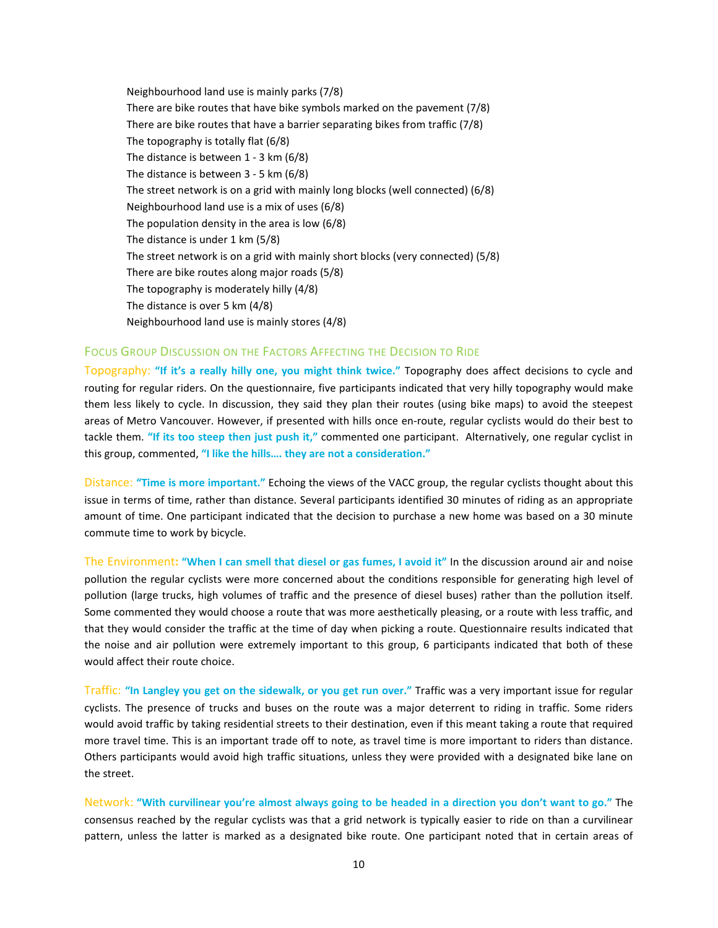Neighbourhood land use is mainly parks (7/8) There are bike routes that have bike symbols marked on the pavement (7/8) There are bike routes that have a barrier separating bikes from traffic (7/8) The topography is totally flat (6/8) The distance is between 1 - 3 km (6/8) The distance is between 3 - 5 km (6/8) The street network is on a grid with mainly long blocks (well connected) (6/8) Neighbourhood land use is a mix of uses (6/8) The population density in the area is low (6/8) The distance is under 1 km (5/8) The street network is on a grid with mainly short blocks (very connected) (5/8) There are bike routes along major roads (5/8) The topography is moderately hilly (4/8) The distance is over 5 km (4/8) Neighbourhood land use is mainly stores (4/8)

#### FOCUS GROUP DISCUSSION ON THE FACTORS AFFECTING THE DECISION TO RIDE

Topography: "If it's a really hilly one, you might think twice." Topography does affect decisions to cycle and routing for regular riders. On the questionnaire, five participants indicated that very hilly topography would make them less likely to cycle. In discussion, they said they plan their routes (using bike maps) to avoid the steepest areas of Metro Vancouver. However, if presented with hills once en-route, regular cyclists would do their best to tackle them. "If its too steep then just push it," commented one participant. Alternatively, one regular cyclist in this group, commented, "I like the hills…. they are not a consideration."

Distance: "Time is more important." Echoing the views of the VACC group, the regular cyclists thought about this issue in terms of time, rather than distance. Several participants identified 30 minutes of riding as an appropriate amount of time. One participant indicated that the decision to purchase a new home was based on a 30 minute commute time to work by bicycle.

The Environment: "When I can smell that diesel or gas fumes, I avoid it" In the discussion around air and noise pollution the regular cyclists were more concerned about the conditions responsible for generating high level of pollution (large trucks, high volumes of traffic and the presence of diesel buses) rather than the pollution itself. Some commented they would choose a route that was more aesthetically pleasing, or a route with less traffic, and that they would consider the traffic at the time of day when picking a route. Questionnaire results indicated that the noise and air pollution were extremely important to this group, 6 participants indicated that both of these would affect their route choice.

Traffic: "In Langley you get on the sidewalk, or you get run over." Traffic was a very important issue for regular cyclists. The presence of trucks and buses on the route was a major deterrent to riding in traffic. Some riders would avoid traffic by taking residential streets to their destination, even if this meant taking a route that required more travel time. This is an important trade off to note, as travel time is more important to riders than distance. Others participants would avoid high traffic situations, unless they were provided with a designated bike lane on the street.

Network: "With curvilinear you're almost always going to be headed in a direction you don't want to go." The consensus reached by the regular cyclists was that a grid network is typically easier to ride on than a curvilinear pattern, unless the latter is marked as a designated bike route. One participant noted that in certain areas of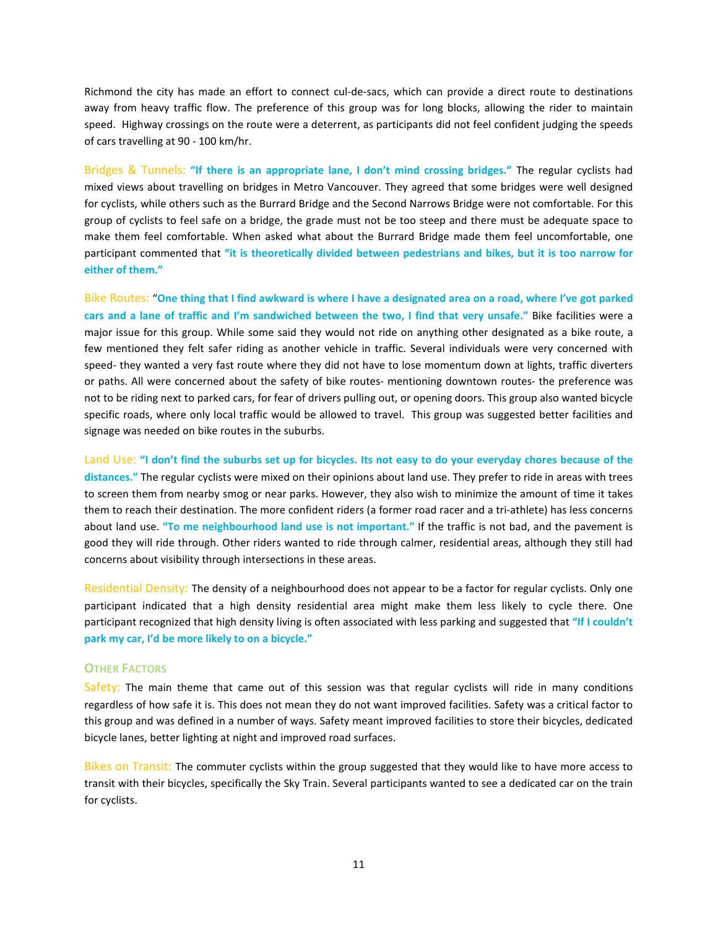Richmond the city has made an effort to connect cul-de-sacs, which can provide a direct route to destinations away from heavy traffic flow. The preference of this group was for long blocks, allowing the rider to maintain speed. Highway crossings on the route were a deterrent, as participants did not feel confident judging the speeds of cars travelling at 90 - 100 km/hr.

Bridges & Tunnels: "If there is an appropriate lane, I don't mind crossing bridges." The regular cyclists had mixed views about travelling on bridges in Metro Vancouver. They agreed that some bridges were well designed for cyclists, while others such as the Burrard Bridge and the Second Narrows Bridge were not comfortable. For this group of cyclists to feel safe on a bridge, the grade must not be too steep and there must be adequate space to make them feel comfortable. When asked what about the Burrard Bridge made them feel uncomfortable, one participant commented that "it is theoretically divided between pedestrians and bikes, but it is too narrow for either of them."

Bike Routes: "One thing that I find awkward is where I have a designated area on a road, where I've got parked cars and a lane of traffic and I'm sandwiched between the two, I find that very unsafe." Bike facilities were a major issue for this group. While some said they would not ride on anything other designated as a bike route, a few mentioned they felt safer riding as another vehicle in traffic. Several individuals were very concerned with speed- they wanted a very fast route where they did not have to lose momentum down at lights, traffic diverters or paths. All were concerned about the safety of bike routes- mentioning downtown routes- the preference was not to be riding next to parked cars, for fear of drivers pulling out, or opening doors. This group also wanted bicycle specific roads, where only local traffic would be allowed to travel. This group was suggested better facilities and signage was needed on bike routes in the suburbs.

Land Use: "I don't find the suburbs set up for bicycles. Its not easy to do your everyday chores because of the distances." The regular cyclists were mixed on their opinions about land use. They prefer to ride in areas with trees to screen them from nearby smog or near parks. However, they also wish to minimize the amount of time it takes them to reach their destination. The more confident riders (a former road racer and a tri-athlete) has less concerns about land use. "To me neighbourhood land use is not important." If the traffic is not bad, and the pavement is good they will ride through. Other riders wanted to ride through calmer, residential areas, although they still had concerns about visibility through intersections in these areas.

Residential Density: The density of a neighbourhood does not appear to be a factor for regular cyclists. Only one participant indicated that a high density residential area might make them less likely to cycle there. One participant recognized that high density living is often associated with less parking and suggested that "If I couldn't park my car, I'd be more likely to on a bicycle."

#### OTHER FACTORS

Safety: The main theme that came out of this session was that regular cyclists will ride in many conditions regardless of how safe it is. This does not mean they do not want improved facilities. Safety was a critical factor to this group and was defined in a number of ways. Safety meant improved facilities to store their bicycles, dedicated bicycle lanes, better lighting at night and improved road surfaces.

Bikes on Transit: The commuter cyclists within the group suggested that they would like to have more access to transit with their bicycles, specifically the Sky Train. Several participants wanted to see a dedicated car on the train for cyclists.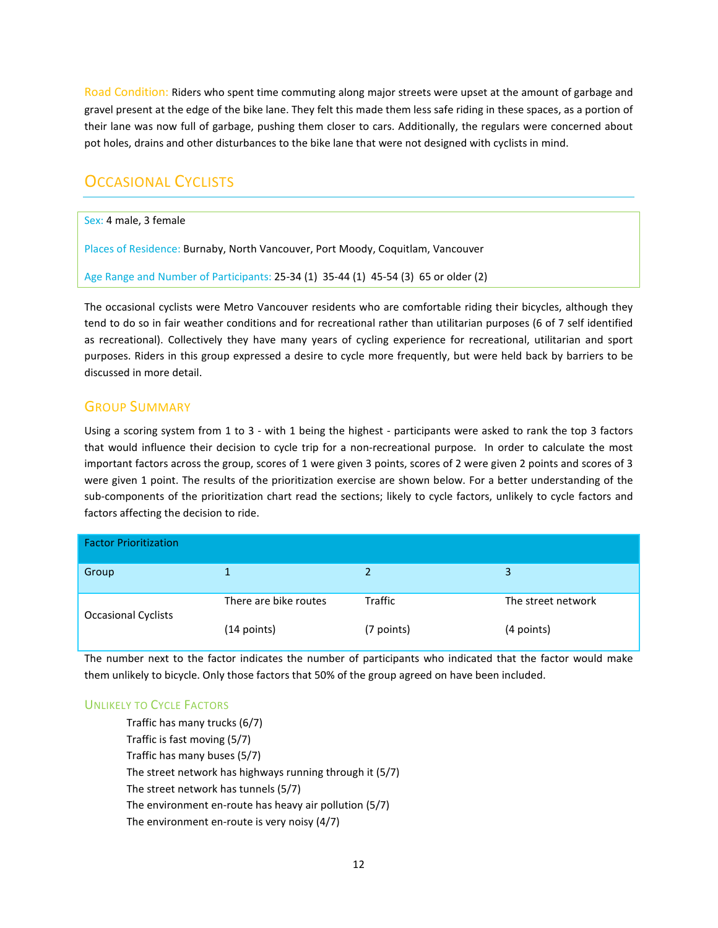Road Condition: Riders who spent time commuting along major streets were upset at the amount of garbage and gravel present at the edge of the bike lane. They felt this made them less safe riding in these spaces, as a portion of their lane was now full of garbage, pushing them closer to cars. Additionally, the regulars were concerned about pot holes, drains and other disturbances to the bike lane that were not designed with cyclists in mind.

## **OCCASIONAL CYCLISTS**

Sex: 4 male, 3 female

Places of Residence: Burnaby, North Vancouver, Port Moody, Coquitlam, Vancouver

Age Range and Number of Participants: 25-34 (1) 35-44 (1) 45-54 (3) 65 or older (2)

The occasional cyclists were Metro Vancouver residents who are comfortable riding their bicycles, although they tend to do so in fair weather conditions and for recreational rather than utilitarian purposes (6 of 7 self identified as recreational). Collectively they have many years of cycling experience for recreational, utilitarian and sport purposes. Riders in this group expressed a desire to cycle more frequently, but were held back by barriers to be discussed in more detail.

## GROUP SUMMARY

Using a scoring system from 1 to 3 - with 1 being the highest - participants were asked to rank the top 3 factors that would influence their decision to cycle trip for a non-recreational purpose. In order to calculate the most important factors across the group, scores of 1 were given 3 points, scores of 2 were given 2 points and scores of 3 were given 1 point. The results of the prioritization exercise are shown below. For a better understanding of the sub-components of the prioritization chart read the sections; likely to cycle factors, unlikely to cycle factors and factors affecting the decision to ride.

| <b>Factor Prioritization</b> |                       |            |                    |  |
|------------------------------|-----------------------|------------|--------------------|--|
| Group                        |                       |            | ્ર                 |  |
| <b>Occasional Cyclists</b>   | There are bike routes | Traffic    | The street network |  |
|                              | (14 points)           | (7 points) | (4 points)         |  |

The number next to the factor indicates the number of participants who indicated that the factor would make them unlikely to bicycle. Only those factors that 50% of the group agreed on have been included.

## UNLIKELY TO CYCLE FACTORS

Traffic has many trucks (6/7) Traffic is fast moving (5/7) Traffic has many buses (5/7) The street network has highways running through it (5/7) The street network has tunnels (5/7) The environment en-route has heavy air pollution (5/7) The environment en-route is very noisy (4/7)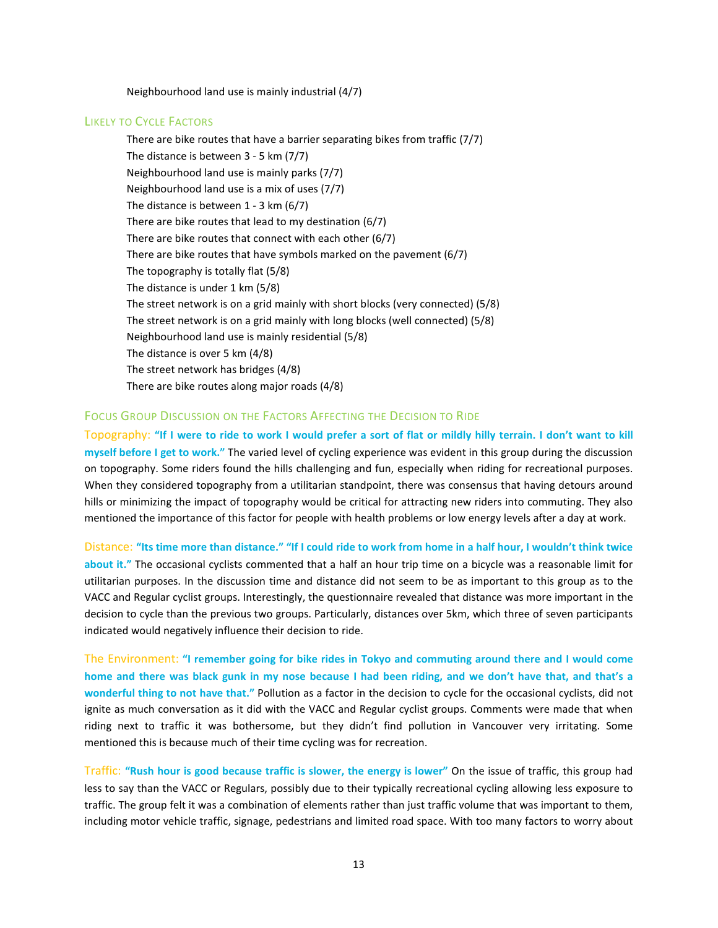Neighbourhood land use is mainly industrial (4/7)

#### LIKELY TO CYCLE FACTORS

There are bike routes that have a barrier separating bikes from traffic (7/7) The distance is between 3 - 5 km (7/7) Neighbourhood land use is mainly parks (7/7) Neighbourhood land use is a mix of uses (7/7) The distance is between 1 - 3 km (6/7) There are bike routes that lead to my destination (6/7) There are bike routes that connect with each other (6/7) There are bike routes that have symbols marked on the pavement (6/7) The topography is totally flat (5/8) The distance is under 1 km (5/8) The street network is on a grid mainly with short blocks (very connected) (5/8) The street network is on a grid mainly with long blocks (well connected) (5/8) Neighbourhood land use is mainly residential (5/8) The distance is over 5 km (4/8) The street network has bridges (4/8) There are bike routes along major roads (4/8)

#### FOCUS GROUP DISCUSSION ON THE FACTORS AFFECTING THE DECISION TO RIDE

Topography: "If I were to ride to work I would prefer a sort of flat or mildly hilly terrain. I don't want to kill myself before I get to work." The varied level of cycling experience was evident in this group during the discussion on topography. Some riders found the hills challenging and fun, especially when riding for recreational purposes. When they considered topography from a utilitarian standpoint, there was consensus that having detours around hills or minimizing the impact of topography would be critical for attracting new riders into commuting. They also mentioned the importance of this factor for people with health problems or low energy levels after a day at work.

Distance: "Its time more than distance." "If I could ride to work from home in a half hour, I wouldn't think twice about it." The occasional cyclists commented that a half an hour trip time on a bicycle was a reasonable limit for utilitarian purposes. In the discussion time and distance did not seem to be as important to this group as to the VACC and Regular cyclist groups. Interestingly, the questionnaire revealed that distance was more important in the decision to cycle than the previous two groups. Particularly, distances over 5km, which three of seven participants indicated would negatively influence their decision to ride.

The Environment: "I remember going for bike rides in Tokyo and commuting around there and I would come home and there was black gunk in my nose because I had been riding, and we don't have that, and that's a wonderful thing to not have that." Pollution as a factor in the decision to cycle for the occasional cyclists, did not ignite as much conversation as it did with the VACC and Regular cyclist groups. Comments were made that when riding next to traffic it was bothersome, but they didn't find pollution in Vancouver very irritating. Some mentioned this is because much of their time cycling was for recreation.

Traffic: "Rush hour is good because traffic is slower, the energy is lower" On the issue of traffic, this group had less to say than the VACC or Regulars, possibly due to their typically recreational cycling allowing less exposure to traffic. The group felt it was a combination of elements rather than just traffic volume that was important to them, including motor vehicle traffic, signage, pedestrians and limited road space. With too many factors to worry about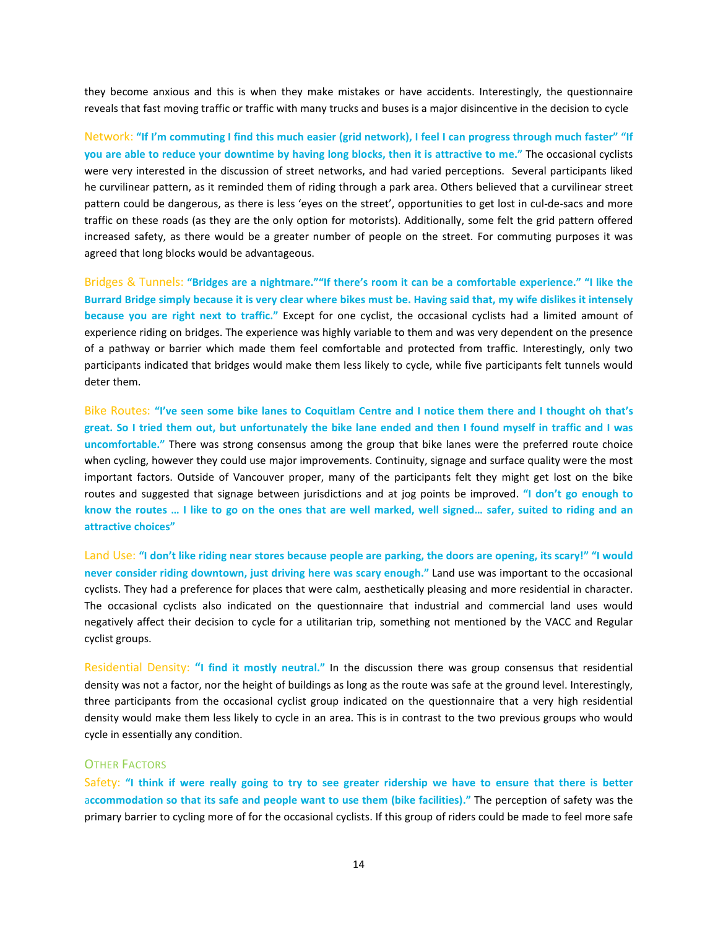they become anxious and this is when they make mistakes or have accidents. Interestingly, the questionnaire reveals that fast moving traffic or traffic with many trucks and buses is a major disincentive in the decision to cycle

Network: "If I'm commuting I find this much easier (grid network), I feel I can progress through much faster" "If you are able to reduce your downtime by having long blocks, then it is attractive to me." The occasional cyclists were very interested in the discussion of street networks, and had varied perceptions. Several participants liked he curvilinear pattern, as it reminded them of riding through a park area. Others believed that a curvilinear street pattern could be dangerous, as there is less 'eyes on the street', opportunities to get lost in cul-de-sacs and more traffic on these roads (as they are the only option for motorists). Additionally, some felt the grid pattern offered increased safety, as there would be a greater number of people on the street. For commuting purposes it was agreed that long blocks would be advantageous.

Bridges & Tunnels: "Bridges are a nightmare.""If there's room it can be a comfortable experience." "I like the Burrard Bridge simply because it is very clear where bikes must be. Having said that, my wife dislikes it intensely because you are right next to traffic." Except for one cyclist, the occasional cyclists had a limited amount of experience riding on bridges. The experience was highly variable to them and was very dependent on the presence of a pathway or barrier which made them feel comfortable and protected from traffic. Interestingly, only two participants indicated that bridges would make them less likely to cycle, while five participants felt tunnels would deter them.

Bike Routes: "I've seen some bike lanes to Coquitlam Centre and I notice them there and I thought oh that's great. So I tried them out, but unfortunately the bike lane ended and then I found myself in traffic and I was uncomfortable." There was strong consensus among the group that bike lanes were the preferred route choice when cycling, however they could use major improvements. Continuity, signage and surface quality were the most important factors. Outside of Vancouver proper, many of the participants felt they might get lost on the bike routes and suggested that signage between jurisdictions and at jog points be improved. "I don't go enough to know the routes … I like to go on the ones that are well marked, well signed… safer, suited to riding and an attractive choices"

Land Use: "I don't like riding near stores because people are parking, the doors are opening, its scary!" "I would never consider riding downtown, just driving here was scary enough." Land use was important to the occasional cyclists. They had a preference for places that were calm, aesthetically pleasing and more residential in character. The occasional cyclists also indicated on the questionnaire that industrial and commercial land uses would negatively affect their decision to cycle for a utilitarian trip, something not mentioned by the VACC and Regular cyclist groups.

Residential Density: "I find it mostly neutral." In the discussion there was group consensus that residential density was not a factor, nor the height of buildings as long as the route was safe at the ground level. Interestingly, three participants from the occasional cyclist group indicated on the questionnaire that a very high residential density would make them less likely to cycle in an area. This is in contrast to the two previous groups who would cycle in essentially any condition.

#### OTHER FACTORS

Safety: "I think if were really going to try to see greater ridership we have to ensure that there is better accommodation so that its safe and people want to use them (bike facilities)." The perception of safety was the primary barrier to cycling more of for the occasional cyclists. If this group of riders could be made to feel more safe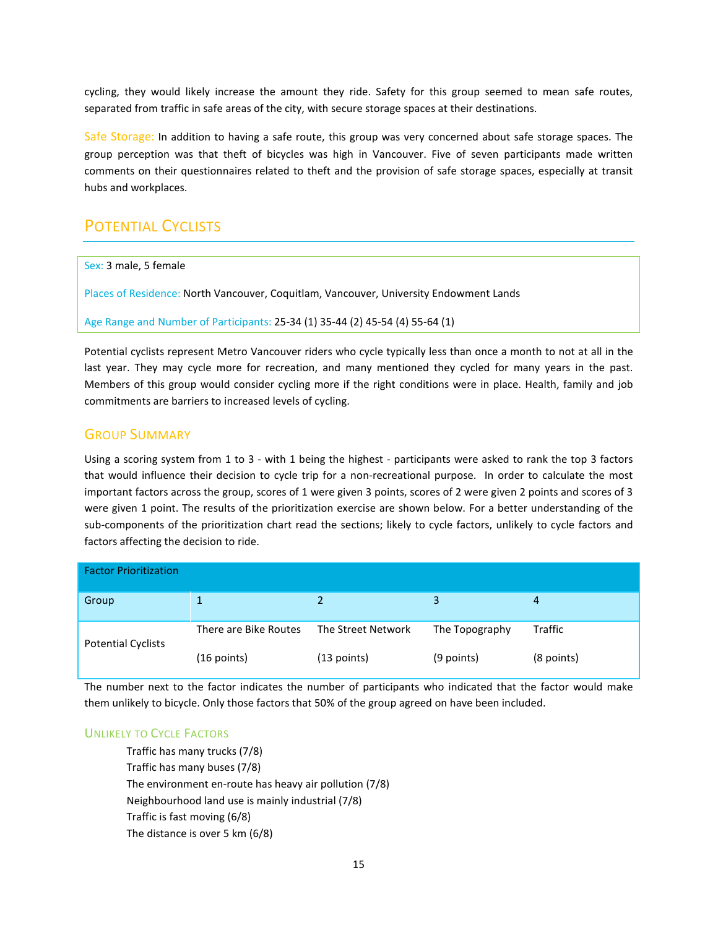cycling, they would likely increase the amount they ride. Safety for this group seemed to mean safe routes, separated from traffic in safe areas of the city, with secure storage spaces at their destinations.

Safe Storage: In addition to having a safe route, this group was very concerned about safe storage spaces. The group perception was that theft of bicycles was high in Vancouver. Five of seven participants made written comments on their questionnaires related to theft and the provision of safe storage spaces, especially at transit hubs and workplaces.

# POTENTIAL CYCLISTS

Sex: 3 male, 5 female

Places of Residence: North Vancouver, Coquitlam, Vancouver, University Endowment Lands

Age Range and Number of Participants: 25-34 (1) 35-44 (2) 45-54 (4) 55-64 (1)

Potential cyclists represent Metro Vancouver riders who cycle typically less than once a month to not at all in the last year. They may cycle more for recreation, and many mentioned they cycled for many years in the past. Members of this group would consider cycling more if the right conditions were in place. Health, family and job commitments are barriers to increased levels of cycling.

## GROUP SUMMARY

Using a scoring system from 1 to 3 - with 1 being the highest - participants were asked to rank the top 3 factors that would influence their decision to cycle trip for a non-recreational purpose. In order to calculate the most important factors across the group, scores of 1 were given 3 points, scores of 2 were given 2 points and scores of 3 were given 1 point. The results of the prioritization exercise are shown below. For a better understanding of the sub-components of the prioritization chart read the sections; likely to cycle factors, unlikely to cycle factors and factors affecting the decision to ride.

| <b>Factor Prioritization</b> |                       |                    |                |                |
|------------------------------|-----------------------|--------------------|----------------|----------------|
| Group                        |                       |                    | 3              | 4              |
| <b>Potential Cyclists</b>    | There are Bike Routes | The Street Network | The Topography | <b>Traffic</b> |
|                              | $(16$ points)         | $(13$ points)      | (9 points)     | (8 points)     |

The number next to the factor indicates the number of participants who indicated that the factor would make them unlikely to bicycle. Only those factors that 50% of the group agreed on have been included.

## UNLIKELY TO CYCLE FACTORS

Traffic has many trucks (7/8) Traffic has many buses (7/8) The environment en-route has heavy air pollution (7/8) Neighbourhood land use is mainly industrial (7/8) Traffic is fast moving (6/8) The distance is over 5 km (6/8)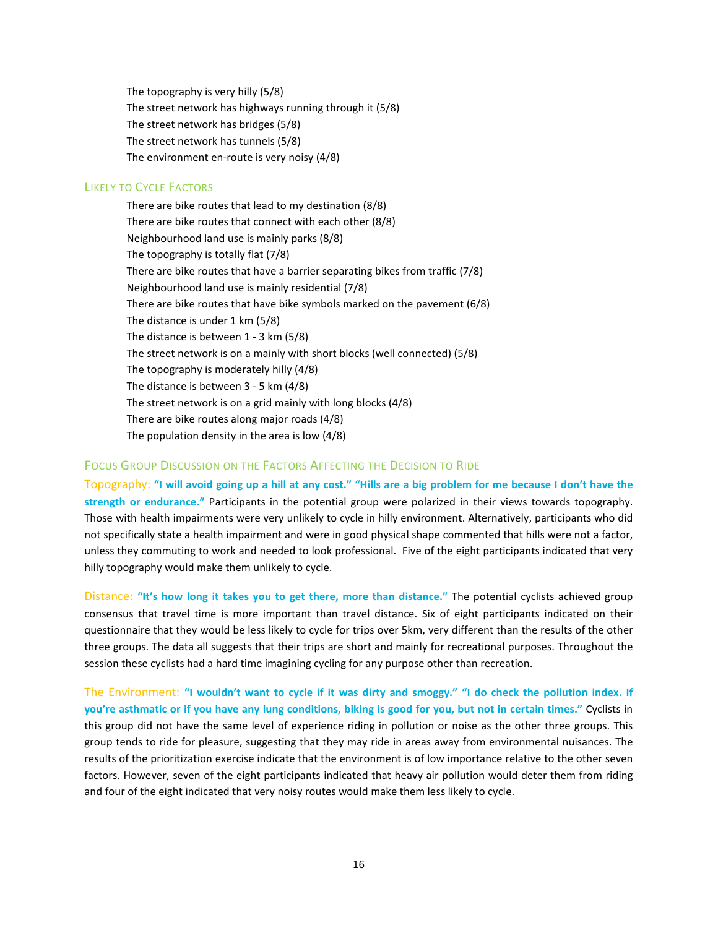The topography is very hilly (5/8) The street network has highways running through it (5/8) The street network has bridges (5/8) The street network has tunnels (5/8) The environment en-route is very noisy (4/8)

#### LIKELY TO CYCLE FACTORS

There are bike routes that lead to my destination (8/8) There are bike routes that connect with each other (8/8) Neighbourhood land use is mainly parks (8/8) The topography is totally flat (7/8) There are bike routes that have a barrier separating bikes from traffic (7/8) Neighbourhood land use is mainly residential (7/8) There are bike routes that have bike symbols marked on the pavement (6/8) The distance is under 1 km (5/8) The distance is between 1 - 3 km (5/8) The street network is on a mainly with short blocks (well connected) (5/8) The topography is moderately hilly (4/8) The distance is between 3 - 5 km (4/8) The street network is on a grid mainly with long blocks (4/8) There are bike routes along major roads (4/8) The population density in the area is low (4/8)

#### FOCUS GROUP DISCUSSION ON THE FACTORS AFFECTING THE DECISION TO RIDE

Topography: "I will avoid going up a hill at any cost." "Hills are a big problem for me because I don't have the strength or endurance." Participants in the potential group were polarized in their views towards topography. Those with health impairments were very unlikely to cycle in hilly environment. Alternatively, participants who did not specifically state a health impairment and were in good physical shape commented that hills were not a factor, unless they commuting to work and needed to look professional. Five of the eight participants indicated that very hilly topography would make them unlikely to cycle.

Distance: "It's how long it takes you to get there, more than distance." The potential cyclists achieved group consensus that travel time is more important than travel distance. Six of eight participants indicated on their questionnaire that they would be less likely to cycle for trips over 5km, very different than the results of the other three groups. The data all suggests that their trips are short and mainly for recreational purposes. Throughout the session these cyclists had a hard time imagining cycling for any purpose other than recreation.

The Environment: "I wouldn't want to cycle if it was dirty and smoggy." "I do check the pollution index. If you're asthmatic or if you have any lung conditions, biking is good for you, but not in certain times." Cyclists in this group did not have the same level of experience riding in pollution or noise as the other three groups. This group tends to ride for pleasure, suggesting that they may ride in areas away from environmental nuisances. The results of the prioritization exercise indicate that the environment is of low importance relative to the other seven factors. However, seven of the eight participants indicated that heavy air pollution would deter them from riding and four of the eight indicated that very noisy routes would make them less likely to cycle.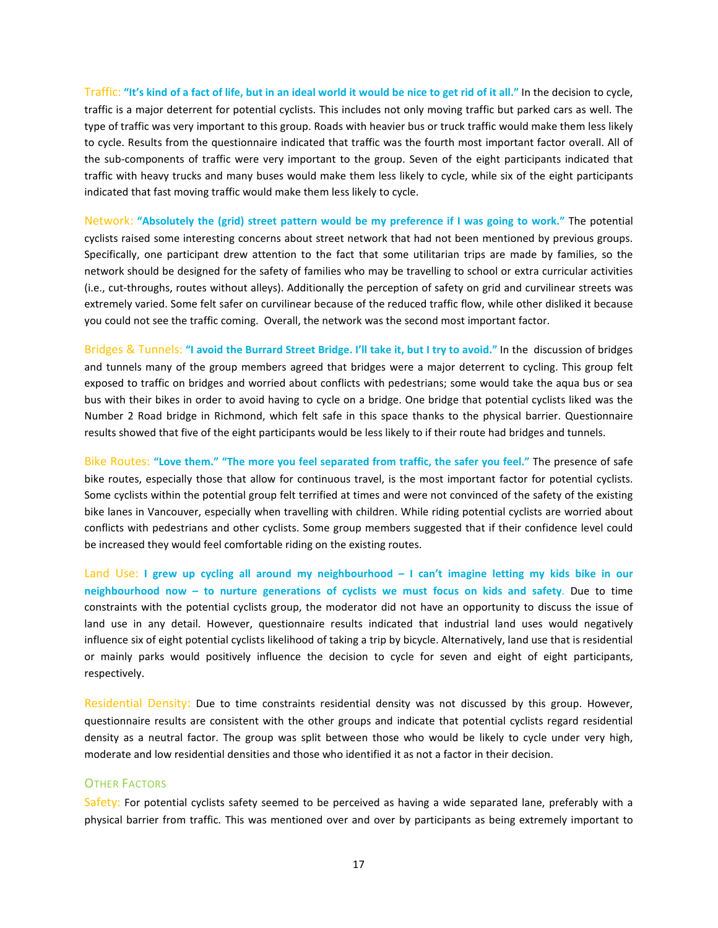Traffic: "It's kind of a fact of life, but in an ideal world it would be nice to get rid of it all." In the decision to cycle, traffic is a major deterrent for potential cyclists. This includes not only moving traffic but parked cars as well. The type of traffic was very important to this group. Roads with heavier bus or truck traffic would make them less likely to cycle. Results from the questionnaire indicated that traffic was the fourth most important factor overall. All of the sub-components of traffic were very important to the group. Seven of the eight participants indicated that traffic with heavy trucks and many buses would make them less likely to cycle, while six of the eight participants indicated that fast moving traffic would make them less likely to cycle.

Network: "Absolutely the (grid) street pattern would be my preference if I was going to work." The potential cyclists raised some interesting concerns about street network that had not been mentioned by previous groups. Specifically, one participant drew attention to the fact that some utilitarian trips are made by families, so the network should be designed for the safety of families who may be travelling to school or extra curricular activities (i.e., cut-throughs, routes without alleys). Additionally the perception of safety on grid and curvilinear streets was extremely varied. Some felt safer on curvilinear because of the reduced traffic flow, while other disliked it because you could not see the traffic coming. Overall, the network was the second most important factor.

Bridges & Tunnels: "I avoid the Burrard Street Bridge. I'll take it, but I try to avoid." In the discussion of bridges and tunnels many of the group members agreed that bridges were a major deterrent to cycling. This group felt exposed to traffic on bridges and worried about conflicts with pedestrians; some would take the aqua bus or sea bus with their bikes in order to avoid having to cycle on a bridge. One bridge that potential cyclists liked was the Number 2 Road bridge in Richmond, which felt safe in this space thanks to the physical barrier. Questionnaire results showed that five of the eight participants would be less likely to if their route had bridges and tunnels.

Bike Routes: "Love them." "The more you feel separated from traffic, the safer you feel." The presence of safe bike routes, especially those that allow for continuous travel, is the most important factor for potential cyclists. Some cyclists within the potential group felt terrified at times and were not convinced of the safety of the existing bike lanes in Vancouver, especially when travelling with children. While riding potential cyclists are worried about conflicts with pedestrians and other cyclists. Some group members suggested that if their confidence level could be increased they would feel comfortable riding on the existing routes.

Land Use: I grew up cycling all around my neighbourhood – I can't imagine letting my kids bike in our neighbourhood now – to nurture generations of cyclists we must focus on kids and safety. Due to time constraints with the potential cyclists group, the moderator did not have an opportunity to discuss the issue of land use in any detail. However, questionnaire results indicated that industrial land uses would negatively influence six of eight potential cyclists likelihood of taking a trip by bicycle. Alternatively, land use that is residential or mainly parks would positively influence the decision to cycle for seven and eight of eight participants, respectively.

Residential Density: Due to time constraints residential density was not discussed by this group. However, questionnaire results are consistent with the other groups and indicate that potential cyclists regard residential density as a neutral factor. The group was split between those who would be likely to cycle under very high, moderate and low residential densities and those who identified it as not a factor in their decision.

## **OTHER FACTORS**

Safety: For potential cyclists safety seemed to be perceived as having a wide separated lane, preferably with a physical barrier from traffic. This was mentioned over and over by participants as being extremely important to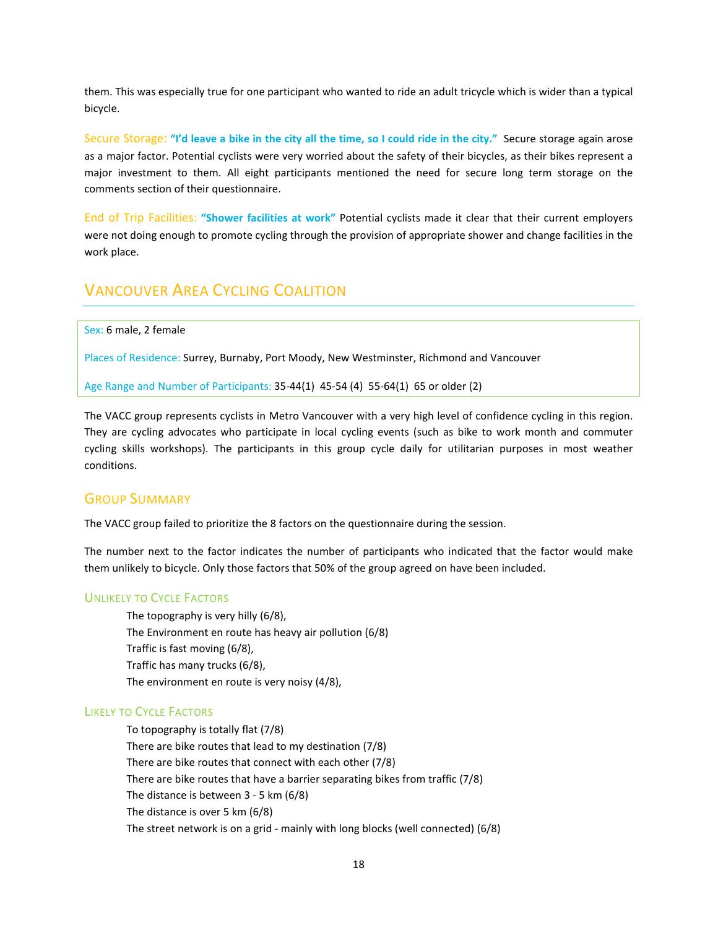them. This was especially true for one participant who wanted to ride an adult tricycle which is wider than a typical bicycle.

Secure Storage: "I'd leave a bike in the city all the time, so I could ride in the city." Secure storage again arose as a major factor. Potential cyclists were very worried about the safety of their bicycles, as their bikes represent a major investment to them. All eight participants mentioned the need for secure long term storage on the comments section of their questionnaire.

End of Trip Facilities: "Shower facilities at work" Potential cyclists made it clear that their current employers were not doing enough to promote cycling through the provision of appropriate shower and change facilities in the work place.

## VANCOUVER AREA CYCLING COALITION

Sex: 6 male, 2 female

Places of Residence: Surrey, Burnaby, Port Moody, New Westminster, Richmond and Vancouver

Age Range and Number of Participants: 35-44(1) 45-54 (4) 55-64(1) 65 or older (2)

The VACC group represents cyclists in Metro Vancouver with a very high level of confidence cycling in this region. They are cycling advocates who participate in local cycling events (such as bike to work month and commuter cycling skills workshops). The participants in this group cycle daily for utilitarian purposes in most weather conditions.

## GROUP SUMMARY

The VACC group failed to prioritize the 8 factors on the questionnaire during the session.

The number next to the factor indicates the number of participants who indicated that the factor would make them unlikely to bicycle. Only those factors that 50% of the group agreed on have been included.

### UNLIKELY TO CYCLE FACTORS

The topography is very hilly (6/8), The Environment en route has heavy air pollution (6/8) Traffic is fast moving (6/8), Traffic has many trucks (6/8), The environment en route is very noisy (4/8),

### LIKELY TO CYCLE FACTORS

To topography is totally flat (7/8) There are bike routes that lead to my destination (7/8) There are bike routes that connect with each other (7/8) There are bike routes that have a barrier separating bikes from traffic (7/8) The distance is between 3 - 5 km (6/8) The distance is over 5 km (6/8) The street network is on a grid - mainly with long blocks (well connected) (6/8)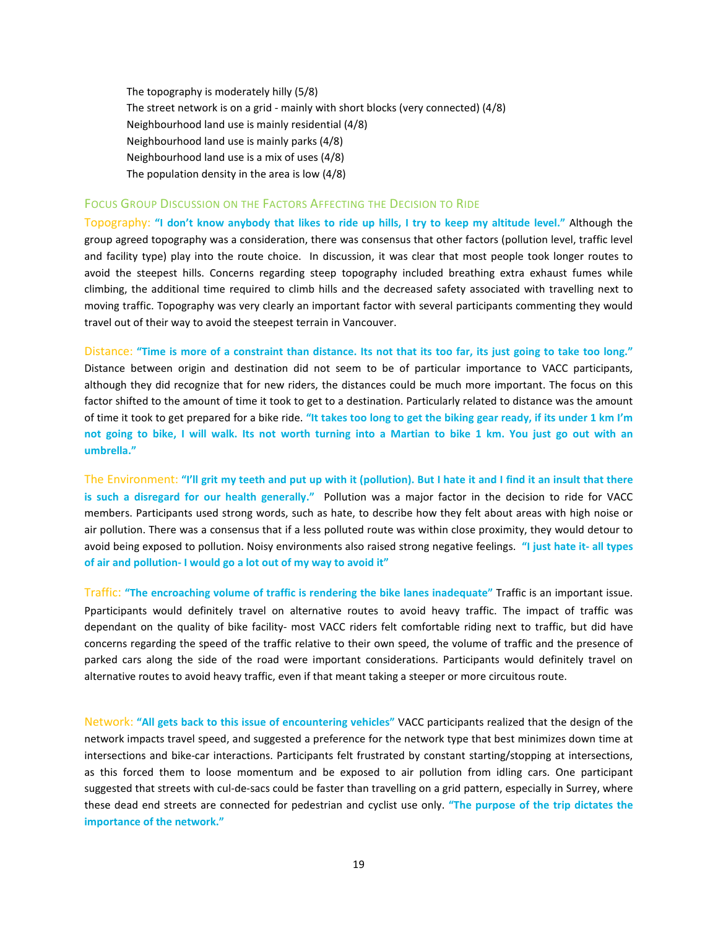The topography is moderately hilly (5/8) The street network is on a grid - mainly with short blocks (very connected) (4/8) Neighbourhood land use is mainly residential (4/8) Neighbourhood land use is mainly parks (4/8) Neighbourhood land use is a mix of uses (4/8) The population density in the area is low (4/8)

#### FOCUS GROUP DISCUSSION ON THE FACTORS AFFECTING THE DECISION TO RIDE

Topography: "I don't know anybody that likes to ride up hills, I try to keep my altitude level." Although the group agreed topography was a consideration, there was consensus that other factors (pollution level, traffic level and facility type) play into the route choice. In discussion, it was clear that most people took longer routes to avoid the steepest hills. Concerns regarding steep topography included breathing extra exhaust fumes while climbing, the additional time required to climb hills and the decreased safety associated with travelling next to moving traffic. Topography was very clearly an important factor with several participants commenting they would travel out of their way to avoid the steepest terrain in Vancouver.

Distance: "Time is more of a constraint than distance. Its not that its too far, its just going to take too long." Distance between origin and destination did not seem to be of particular importance to VACC participants, although they did recognize that for new riders, the distances could be much more important. The focus on this factor shifted to the amount of time it took to get to a destination. Particularly related to distance was the amount of time it took to get prepared for a bike ride. "It takes too long to get the biking gear ready, if its under 1 km I'm not going to bike, I will walk. Its not worth turning into a Martian to bike 1 km. You just go out with an umbrella."

The Environment: "I'll grit my teeth and put up with it (pollution). But I hate it and I find it an insult that there is such a disregard for our health generally." Pollution was a major factor in the decision to ride for VACC members. Participants used strong words, such as hate, to describe how they felt about areas with high noise or air pollution. There was a consensus that if a less polluted route was within close proximity, they would detour to avoid being exposed to pollution. Noisy environments also raised strong negative feelings. "I just hate it- all types of air and pollution- I would go a lot out of my way to avoid it"

Traffic: "The encroaching volume of traffic is rendering the bike lanes inadequate" Traffic is an important issue. Pparticipants would definitely travel on alternative routes to avoid heavy traffic. The impact of traffic was dependant on the quality of bike facility- most VACC riders felt comfortable riding next to traffic, but did have concerns regarding the speed of the traffic relative to their own speed, the volume of traffic and the presence of parked cars along the side of the road were important considerations. Participants would definitely travel on alternative routes to avoid heavy traffic, even if that meant taking a steeper or more circuitous route.

Network: "All gets back to this issue of encountering vehicles" VACC participants realized that the design of the network impacts travel speed, and suggested a preference for the network type that best minimizes down time at intersections and bike-car interactions. Participants felt frustrated by constant starting/stopping at intersections, as this forced them to loose momentum and be exposed to air pollution from idling cars. One participant suggested that streets with cul-de-sacs could be faster than travelling on a grid pattern, especially in Surrey, where these dead end streets are connected for pedestrian and cyclist use only. "The purpose of the trip dictates the importance of the network."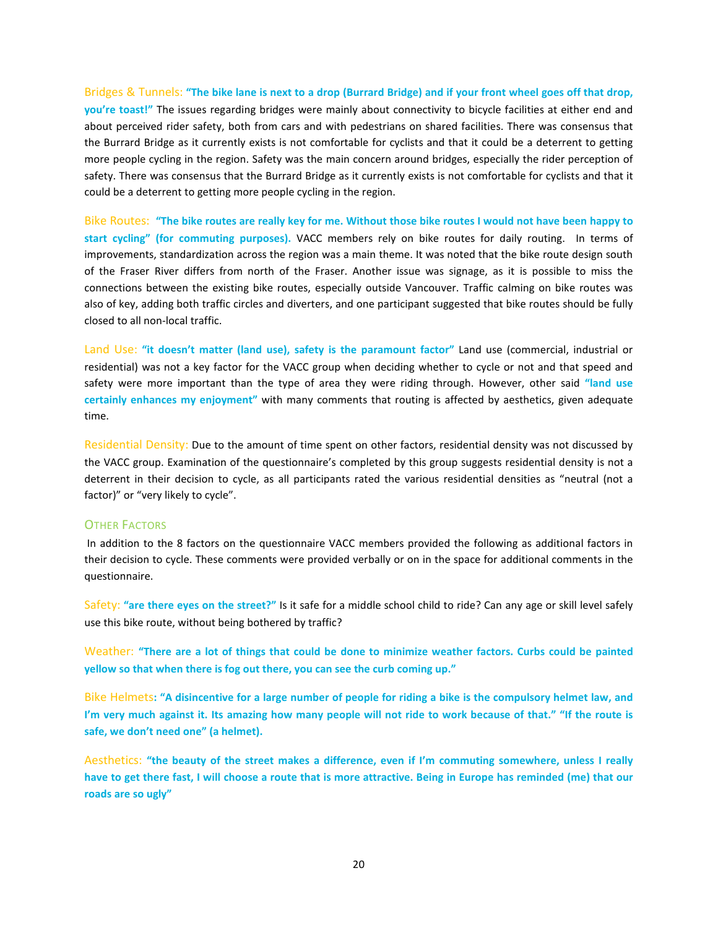Bridges & Tunnels: "The bike lane is next to a drop (Burrard Bridge) and if your front wheel goes off that drop, you're toast!" The issues regarding bridges were mainly about connectivity to bicycle facilities at either end and about perceived rider safety, both from cars and with pedestrians on shared facilities. There was consensus that the Burrard Bridge as it currently exists is not comfortable for cyclists and that it could be a deterrent to getting more people cycling in the region. Safety was the main concern around bridges, especially the rider perception of safety. There was consensus that the Burrard Bridge as it currently exists is not comfortable for cyclists and that it could be a deterrent to getting more people cycling in the region.

Bike Routes: "The bike routes are really key for me. Without those bike routes I would not have been happy to start cycling" (for commuting purposes). VACC members rely on bike routes for daily routing. In terms of improvements, standardization across the region was a main theme. It was noted that the bike route design south of the Fraser River differs from north of the Fraser. Another issue was signage, as it is possible to miss the connections between the existing bike routes, especially outside Vancouver. Traffic calming on bike routes was also of key, adding both traffic circles and diverters, and one participant suggested that bike routes should be fully closed to all non-local traffic.

Land Use: "it doesn't matter (land use), safety is the paramount factor" Land use (commercial, industrial or residential) was not a key factor for the VACC group when deciding whether to cycle or not and that speed and safety were more important than the type of area they were riding through. However, other said "land use certainly enhances my enjoyment" with many comments that routing is affected by aesthetics, given adequate time.

Residential Density: Due to the amount of time spent on other factors, residential density was not discussed by the VACC group. Examination of the questionnaire's completed by this group suggests residential density is not a deterrent in their decision to cycle, as all participants rated the various residential densities as "neutral (not a factor)" or "very likely to cycle".

#### OTHER FACTORS

In addition to the 8 factors on the questionnaire VACC members provided the following as additional factors in their decision to cycle. These comments were provided verbally or on in the space for additional comments in the questionnaire.

Safety: "are there eyes on the street?" Is it safe for a middle school child to ride? Can any age or skill level safely use this bike route, without being bothered by traffic?

Weather: "There are a lot of things that could be done to minimize weather factors. Curbs could be painted yellow so that when there is fog out there, you can see the curb coming up."

Bike Helmets: "A disincentive for a large number of people for riding a bike is the compulsory helmet law, and I'm very much against it. Its amazing how many people will not ride to work because of that." "If the route is safe, we don't need one" (a helmet).

Aesthetics: "the beauty of the street makes a difference, even if I'm commuting somewhere, unless I really have to get there fast, I will choose a route that is more attractive. Being in Europe has reminded (me) that our roads are so ugly"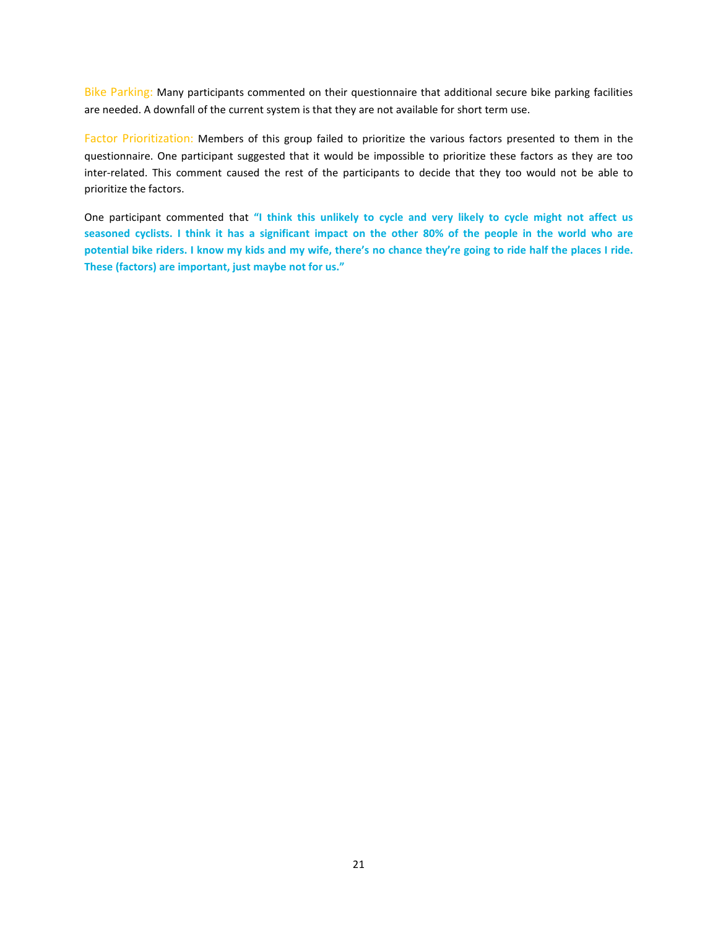Bike Parking: Many participants commented on their questionnaire that additional secure bike parking facilities are needed. A downfall of the current system is that they are not available for short term use.

Factor Prioritization: Members of this group failed to prioritize the various factors presented to them in the questionnaire. One participant suggested that it would be impossible to prioritize these factors as they are too inter-related. This comment caused the rest of the participants to decide that they too would not be able to prioritize the factors.

One participant commented that "I think this unlikely to cycle and very likely to cycle might not affect us seasoned cyclists. I think it has a significant impact on the other 80% of the people in the world who are potential bike riders. I know my kids and my wife, there's no chance they're going to ride half the places I ride. These (factors) are important, just maybe not for us."